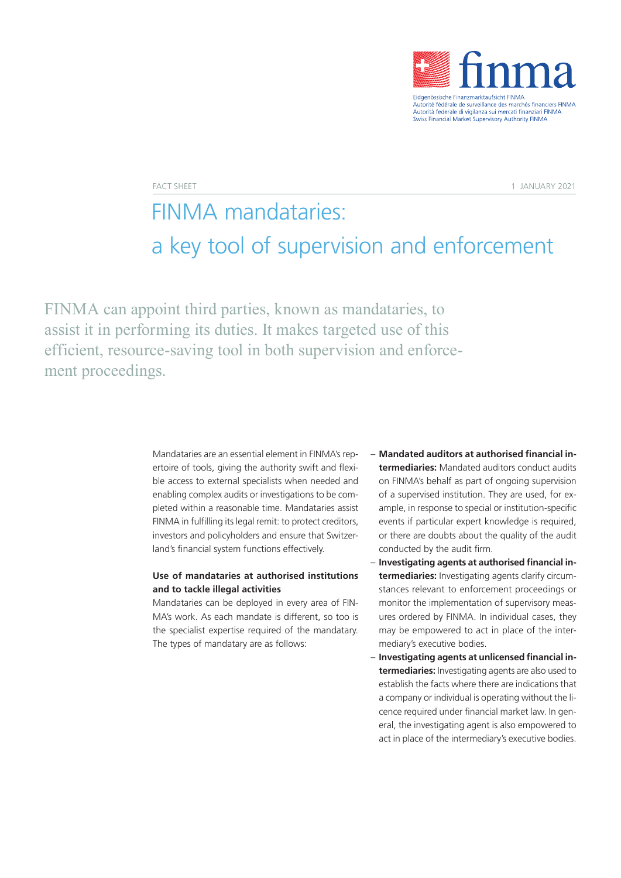

FACT SHEET 1 JANUARY 2021

# FINMA mandataries: a key tool of supervision and enforcement

FINMA can appoint third parties, known as mandataries, to assist it in performing its duties. It makes targeted use of this efficient, resource-saving tool in both supervision and enforcement proceedings.

> Mandataries are an essential element in FINMA's repertoire of tools, giving the authority swift and flexible access to external specialists when needed and enabling complex audits or investigations to be completed within a reasonable time. Mandataries assist FINMA in fulfilling its legal remit: to protect creditors, investors and policyholders and ensure that Switzerland's financial system functions effectively.

## **Use of mandataries at authorised institutions and to tackle illegal activities**

Mandataries can be deployed in every area of FIN-MA's work. As each mandate is different, so too is the specialist expertise required of the mandatary. The types of mandatary are as follows:

- **Mandated auditors at authorised financial intermediaries:** Mandated auditors conduct audits on FINMA's behalf as part of ongoing supervision of a supervised institution. They are used, for example, in response to special or institution-specific events if particular expert knowledge is required, or there are doubts about the quality of the audit conducted by the audit firm.
- **Investigating agents at authorised financial intermediaries:** Investigating agents clarify circumstances relevant to enforcement proceedings or monitor the implementation of supervisory measures ordered by FINMA. In individual cases, they may be empowered to act in place of the intermediary's executive bodies.
- **Investigating agents at unlicensed financial intermediaries:** Investigating agents are also used to establish the facts where there are indications that a company or individual is operating without the licence required under financial market law. In general, the investigating agent is also empowered to act in place of the intermediary's executive bodies.